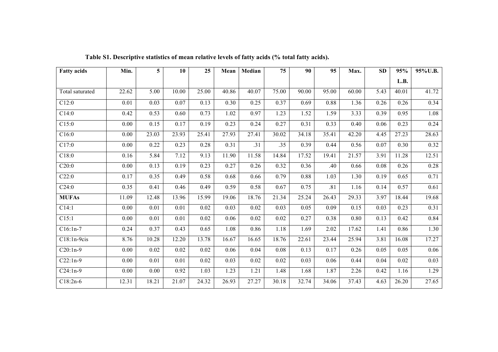| <b>Fatty acids</b> | Min.     | 5     | 10    | 25    | Mean  | Median | 75    | 90    | 95    | Max.  | SD   | 95%   | 95%U.B. |
|--------------------|----------|-------|-------|-------|-------|--------|-------|-------|-------|-------|------|-------|---------|
|                    |          |       |       |       |       |        |       |       |       |       |      | L.B.  |         |
| Total saturated    | 22.62    | 5.00  | 10.00 | 25.00 | 40.86 | 40.07  | 75.00 | 90.00 | 95.00 | 60.00 | 5.43 | 40.01 | 41.72   |
| C12:0              | 0.01     | 0.03  | 0.07  | 0.13  | 0.30  | 0.25   | 0.37  | 0.69  | 0.88  | 1.36  | 0.26 | 0.26  | 0.34    |
| C14:0              | 0.42     | 0.53  | 0.60  | 0.73  | 1.02  | 0.97   | 1.23  | 1.52  | 1.59  | 3.33  | 0.39 | 0.95  | 1.08    |
| C15:0              | 0.00     | 0.15  | 0.17  | 0.19  | 0.23  | 0.24   | 0.27  | 0.31  | 0.33  | 0.40  | 0.06 | 0.23  | 0.24    |
| C16:0              | 0.00     | 23.03 | 23.93 | 25.41 | 27.93 | 27.41  | 30.02 | 34.18 | 35.41 | 42.20 | 4.45 | 27.23 | 28.63   |
| C17:0              | $0.00\,$ | 0.22  | 0.23  | 0.28  | 0.31  | .31    | .35   | 0.39  | 0.44  | 0.56  | 0.07 | 0.30  | 0.32    |
| C18:0              | 0.16     | 5.84  | 7.12  | 9.13  | 11.90 | 11.58  | 14.84 | 17.52 | 19.41 | 21.57 | 3.91 | 11.28 | 12.51   |
| C20:0              | 0.00     | 0.13  | 0.19  | 0.23  | 0.27  | 0.26   | 0.32  | 0.36  | .40   | 0.66  | 0.08 | 0.26  | 0.28    |
| C22:0              | 0.17     | 0.35  | 0.49  | 0.58  | 0.68  | 0.66   | 0.79  | 0.88  | 1.03  | 1.30  | 0.19 | 0.65  | 0.71    |
| C24:0              | 0.35     | 0.41  | 0.46  | 0.49  | 0.59  | 0.58   | 0.67  | 0.75  | .81   | 1.16  | 0.14 | 0.57  | 0.61    |
| <b>MUFAs</b>       | 11.09    | 12.48 | 13.96 | 15.99 | 19.06 | 18.76  | 21.34 | 25.24 | 26.43 | 29.33 | 3.97 | 18.44 | 19.68   |
| C14:1              | 0.00     | 0.01  | 0.01  | 0.02  | 0.03  | 0.02   | 0.03  | 0.05  | 0.09  | 0.15  | 0.03 | 0.23  | 0.31    |
| C15:1              | 0.00     | 0.01  | 0.01  | 0.02  | 0.06  | 0.02   | 0.02  | 0.27  | 0.38  | 0.80  | 0.13 | 0.42  | 0.84    |
| $C16:1n-7$         | 0.24     | 0.37  | 0.43  | 0.65  | 1.08  | 0.86   | 1.18  | 1.69  | 2.02  | 17.62 | 1.41 | 0.86  | 1.30    |
| $C18:1n-9cis$      | 8.76     | 10.28 | 12.20 | 13.78 | 16.67 | 16.65  | 18.76 | 22.61 | 23.44 | 25.94 | 3.81 | 16.08 | 17.27   |
| $C20:1n-9$         | 0.00     | 0.02  | 0.02  | 0.02  | 0.06  | 0.04   | 0.08  | 0.13  | 0.17  | 0.26  | 0.05 | 0.05  | 0.06    |
| $C22:1n-9$         | 0.00     | 0.01  | 0.01  | 0.02  | 0.03  | 0.02   | 0.02  | 0.03  | 0.06  | 0.44  | 0.04 | 0.02  | 0.03    |
| $C24:1n-9$         | 0.00     | 0.00  | 0.92  | 1.03  | 1.23  | 1.21   | 1.48  | 1.68  | 1.87  | 2.26  | 0.42 | 1.16  | 1.29    |
| $C18:2n-6$         | 12.31    | 18.21 | 21.07 | 24.32 | 26.93 | 27.27  | 30.18 | 32.74 | 34.06 | 37.43 | 4.63 | 26.20 | 27.65   |

**Table S1. Descriptive statistics of mean relative levels of fatty acids (% total fatty acids).**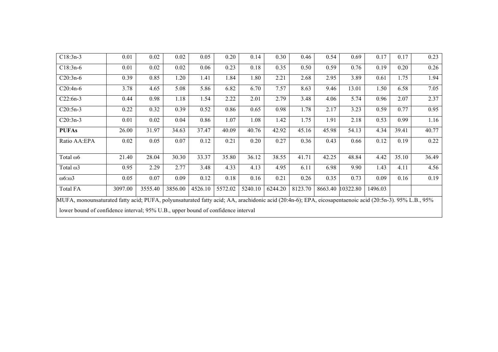| $C18:3n-3$                                                                                                                                                                                                                                  | 0.01    | 0.02    | 0.02    | 0.05    | 0.20    | 0.14    | 0.30    | 0.46    | 0.54  | 0.69             | 0.17    | 0.17  | 0.23  |
|---------------------------------------------------------------------------------------------------------------------------------------------------------------------------------------------------------------------------------------------|---------|---------|---------|---------|---------|---------|---------|---------|-------|------------------|---------|-------|-------|
| $C18:3n-6$                                                                                                                                                                                                                                  | 0.01    | 0.02    | 0.02    | 0.06    | 0.23    | 0.18    | 0.35    | 0.50    | 0.59  | 0.76             | 0.19    | 0.20  | 0.26  |
| $C20:3n-6$                                                                                                                                                                                                                                  | 0.39    | 0.85    | 1.20    | 1.41    | 1.84    | 1.80    | 2.21    | 2.68    | 2.95  | 3.89             | 0.61    | 1.75  | 1.94  |
| $C20:4n-6$                                                                                                                                                                                                                                  | 3.78    | 4.65    | 5.08    | 5.86    | 6.82    | 6.70    | 7.57    | 8.63    | 9.46  | 13.01            | 1.50    | 6.58  | 7.05  |
| $C22:6n-3$                                                                                                                                                                                                                                  | 0.44    | 0.98    | 1.18    | 1.54    | 2.22    | 2.01    | 2.79    | 3.48    | 4.06  | 5.74             | 0.96    | 2.07  | 2.37  |
| $C20:5n-3$                                                                                                                                                                                                                                  | 0.22    | 0.32    | 0.39    | 0.52    | 0.86    | 0.65    | 0.98    | 1.78    | 2.17  | 3.23             | 0.59    | 0.77  | 0.95  |
| $C20:3n-3$                                                                                                                                                                                                                                  | 0.01    | 0.02    | 0.04    | 0.86    | 1.07    | 1.08    | 1.42    | 1.75    | 1.91  | 2.18             | 0.53    | 0.99  | 1.16  |
| <b>PUFAs</b>                                                                                                                                                                                                                                | 26.00   | 31.97   | 34.63   | 37.47   | 40.09   | 40.76   | 42.92   | 45.16   | 45.98 | 54.13            | 4.34    | 39.41 | 40.77 |
| Ratio AA:EPA                                                                                                                                                                                                                                | 0.02    | 0.05    | 0.07    | 0.12    | 0.21    | 0.20    | 0.27    | 0.36    | 0.43  | 0.66             | 0.12    | 0.19  | 0.22  |
| Total @6                                                                                                                                                                                                                                    | 21.40   | 28.04   | 30.30   | 33.37   | 35.80   | 36.12   | 38.55   | 41.71   | 42.25 | 48.84            | 4.42    | 35.10 | 36.49 |
| Total @3                                                                                                                                                                                                                                    | 0.95    | 2.29    | 2.77    | 3.48    | 4.33    | 4.13    | 4.95    | 6.11    | 6.98  | 9.90             | 1.43    | 4.11  | 4.56  |
| $\omega$ 6: $\omega$ 3                                                                                                                                                                                                                      | 0.05    | 0.07    | 0.09    | 0.12    | 0.18    | 0.16    | 0.21    | 0.26    | 0.35  | 0.73             | 0.09    | 0.16  | 0.19  |
| <b>Total FA</b>                                                                                                                                                                                                                             | 3097.00 | 3555.40 | 3856.00 | 4526.10 | 5572.02 | 5240.10 | 6244.20 | 8123.70 |       | 8663.40 10322.80 | 1496.03 |       |       |
| MUFA, monounsaturated fatty acid; PUFA, polyunsaturated fatty acid; AA, arachidonic acid (20:4n-6); EPA, eicosapentaenoic acid (20:5n-3). 95% L.B., 95%<br>lower bound of confidence interval; 95% U.B., upper bound of confidence interval |         |         |         |         |         |         |         |         |       |                  |         |       |       |